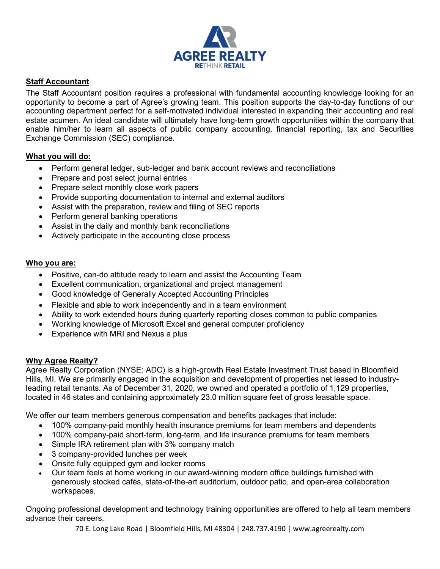

## **Staff Accountant**

The Staff Accountant position requires a professional with fundamental accounting knowledge looking for an opportunity to become a part of Agree's growing team. This position supports the day-to-day functions of our accounting department perfect for a self-motivated individual interested in expanding their accounting and real estate acumen. An ideal candidate will ultimately have long-term growth opportunities within the company that enable him/her to learn all aspects of public company accounting, financial reporting, tax and Securities Exchange Commission (SEC) compliance.

## **What you will do:**

- Perform general ledger, sub-ledger and bank account reviews and reconciliations
- Prepare and post select journal entries
- Prepare select monthly close work papers
- Provide supporting documentation to internal and external auditors
- Assist with the preparation, review and filing of SEC reports
- Perform general banking operations
- Assist in the daily and monthly bank reconciliations
- Actively participate in the accounting close process

## **Who you are:**

- Positive, can-do attitude ready to learn and assist the Accounting Team
- Excellent communication, organizational and project management
- Good knowledge of Generally Accepted Accounting Principles
- Flexible and able to work independently and in a team environment
- Ability to work extended hours during quarterly reporting closes common to public companies
- Working knowledge of Microsoft Excel and general computer proficiency
- Experience with MRI and Nexus a plus

## **Why Agree Realty?**

Agree Realty Corporation (NYSE: ADC) is a high-growth Real Estate Investment Trust based in Bloomfield Hills, MI. We are primarily engaged in the acquisition and development of properties net leased to industryleading retail tenants. As of December 31, 2020, we owned and operated a portfolio of 1,129 properties, located in 46 states and containing approximately 23.0 million square feet of gross leasable space.

We offer our team members generous compensation and benefits packages that include:

- 100% company-paid monthly health insurance premiums for team members and dependents
- 100% company-paid short-term, long-term, and life insurance premiums for team members
- Simple IRA retirement plan with 3% company match
- 3 company-provided lunches per week
- Onsite fully equipped gym and locker rooms
- Our team feels at home working in our award-winning modern office buildings furnished with generously stocked cafés, state-of-the-art auditorium, outdoor patio, and open-area collaboration workspaces.

Ongoing professional development and technology training opportunities are offered to help all team members advance their careers.

70 E. Long Lake Road | Bloomfield Hills, MI 48304 | 248.737.4190 | www.agreerealty.com